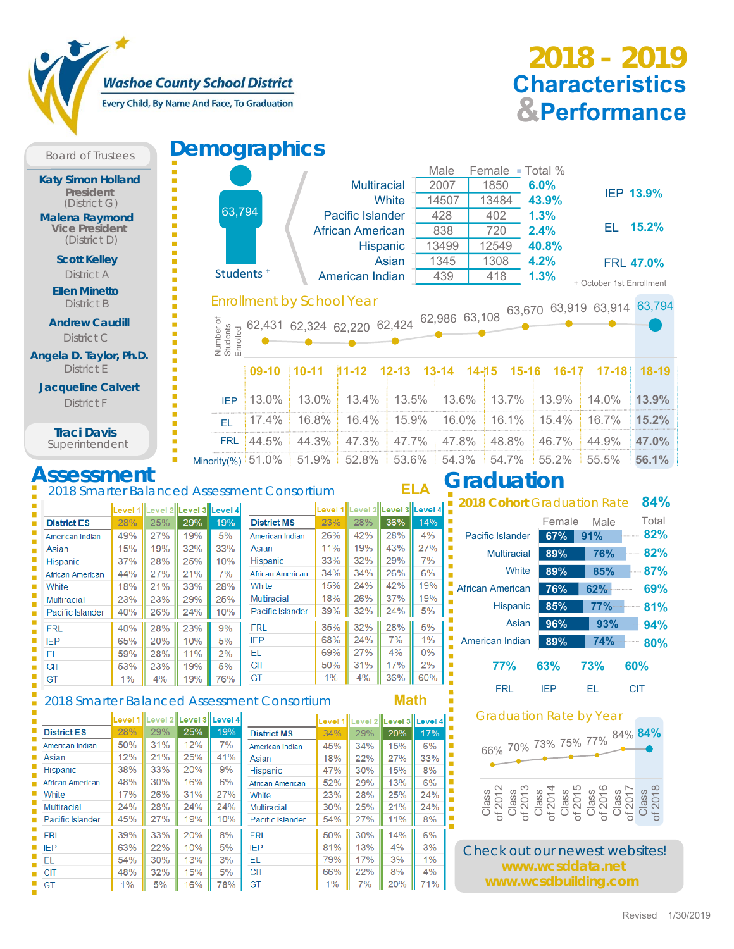### **Washoe County School District**

Every Child, By Name And Face, To Graduation

# **& Performance Characteristics 2018 - 2019**

**Board of Trustees Demographics** Ē. **Katy Simon Holland** Ė Ė **President** I. (District G) 63,794 **Malena Raymond** li<br>Li **Vice President** É (District D) Ė **Scott Kelley** I. Ľ District A Ī. Ė **Ellen Minetto** Ė District B Ē. D **Andrew Caudill** Number of × Enrolled an and the students<br>and students<br>and students<br>IEP<br>IEP<br>IERL<br>Minority(%) Î. District C u, Ľ **Angela D. Taylor, Ph.D.** Ľ District E Ì. T, **Jacqueline Calvert** t District F IEP Ē, Ė Ė EL **Traci Davis** Ì. п FRL Superintendent п **Assessment** 2018 Smarter Balance Level 1 Level 2 Level 3 Level 4

| <i>emographics</i>                                                                                    |         |                                                                |                         |            |           |       |                   |           |           |                                    |                  |
|-------------------------------------------------------------------------------------------------------|---------|----------------------------------------------------------------|-------------------------|------------|-----------|-------|-------------------|-----------|-----------|------------------------------------|------------------|
|                                                                                                       |         |                                                                |                         |            | Male      |       | Female •          |           | Total %   |                                    |                  |
|                                                                                                       |         |                                                                | <b>Multiracial</b>      |            | 2007      |       | 1850              |           | 6.0%      |                                    |                  |
|                                                                                                       |         |                                                                |                         | White      |           | 14507 | 13484             |           | 43.9%     |                                    | IEP 13.9%        |
| 63,794                                                                                                |         |                                                                | <b>Pacific Islander</b> |            | 428       |       | 402               |           | 1.3%      |                                    |                  |
|                                                                                                       |         |                                                                | <b>African American</b> |            |           | 838   | 720               |           | 2.4%      | EL -                               | 15.2%            |
|                                                                                                       |         |                                                                |                         | Hispanic   |           | 13499 | 12549             |           | 40.8%     |                                    |                  |
|                                                                                                       |         |                                                                |                         | Asian      |           | 1345  | 1308              |           | 4.2%      |                                    | <b>FRL 47.0%</b> |
| Students <sup>+</sup>                                                                                 |         |                                                                | American Indian         |            |           | 439   | 418               |           | 1.3%      | + October 1st Enrollment           |                  |
| Number of<br>Students<br>Enrolled                                                                     |         | 62,431 62,324 62,220 62,424 62,986 63,108 63,670 63,919 63,914 |                         |            |           |       |                   |           |           |                                    |                  |
|                                                                                                       | $09-10$ | $10 - 11$                                                      | $11 - 12$               | $12 - 13$  | $13 - 14$ |       | $14 - 15$         | $15 - 16$ | $16 - 17$ | $17 - 18$                          | $18-19$          |
| <b>IFP</b>                                                                                            | 13.0%   | 13.0%                                                          | 13.4%                   | 13.5%      |           | 13.6% |                   | 13.7%     | 13.9%     | 14.0%                              | 13.9%            |
| FL.                                                                                                   | 17.4%   | 16.8%                                                          | 16.4%                   | 15.9%      |           | 16.0% |                   | 16.1%     | 15.4%     | 16.7%                              | 15.2%            |
| <b>FRL</b>                                                                                            | 44.5%   | 44.3%                                                          | 47.3%                   | 47.7%      |           | 47.8% |                   | 48.8%     | 46.7%     | 44.9%                              | 47.0%            |
| Minority(%) $51.0\%$                                                                                  |         | 51.9%                                                          | 52.8%                   | 53.6%      |           | 54.3% | 54.7%             |           | 55.2%     | 55.5%                              | 56.1%            |
| d Assessment Consortium<br>المنعينة بالقنوبية بالقنوع بالقنوسيات والمستقبل والمنتقب المنفسيا القنوبية |         |                                                                |                         | <b>ELA</b> |           |       | <b>Graduation</b> |           |           | <b>2018 Cohort Graduation Rate</b> | 84%              |

|                    |       | LEVEL INLEVEL 4N |     | LEVEI OIILEVEI 41 |                    |     | Level Thlevel Zhlevel Jhlevel ( |     |       |
|--------------------|-------|------------------|-----|-------------------|--------------------|-----|---------------------------------|-----|-------|
| <b>District ES</b> | 28%   | 25%              | 29% | 19%               | <b>District MS</b> | 23% | 28%                             | 36% | 14%   |
| American Indian    | 49%   | 27%              | 19% | 5%                | American Indian    | 26% | 42%                             | 28% | 4%    |
| Asian              | 15%   | 19%              | 32% | 33%               | Asian              | 11% | 19%                             | 43% | 27%   |
| <b>Hispanic</b>    | 37%   | 28%              | 25% | 10%               | <b>Hispanic</b>    | 33% | 32%                             | 29% | 7%    |
| African American   | 44%   | 27%              | 21% | 7%                | African American   | 34% | 34%                             | 26% | 6%    |
| White              | 18%   | 21%              | 33% | 28%               | White              | 15% | 24%                             | 42% | 19%   |
| <b>Multiracial</b> | 23%   | 23%              | 29% | 25%               | <b>Multiracial</b> | 18% | 26%                             | 37% | 19%   |
| Pacific Islander   | 40%   | 26%              | 24% | 10%               | Pacific Islander   | 39% | 32%                             | 24% | 5%    |
| <b>FRL</b>         | 40%   | 28%              | 23% | 9%                | <b>FRL</b>         | 35% | 32%                             | 28% | 5%    |
| <b>IEP</b>         | 65%   | 20%              | 10% | 5%                | <b>IEP</b>         | 68% | 24%                             | 7%  | 1%    |
| EL.                | 59%   | 28%              | 11% | 2%                | EL                 | 69% | 27%                             | 4%  | $0\%$ |
| <b>CIT</b>         | 53%   | 23%              | 19% | 5%                | <b>CIT</b>         | 50% | 31%                             | 17% | 2%    |
| GT                 | $1\%$ | 4%               | 19% | 76%               | GT                 | 1%  | 4%                              | 36% | 60%   |
|                    |       |                  |     |                   |                    |     |                                 |     |       |

#### 2018 Smarter Balanced Assessment Consortium

| ÷ |          |
|---|----------|
|   | ٠        |
|   | I        |
|   |          |
|   | -------- |

,,,,,,,,,,

|                    |     | Level 1  Level 2  Level 3  Level 4 |     |     |                         |     | Level 1  Level 2  Level 3  Level 4 |     |     |
|--------------------|-----|------------------------------------|-----|-----|-------------------------|-----|------------------------------------|-----|-----|
| <b>District ES</b> | 28% | 29%                                | 25% | 19% | <b>District MS</b>      | 34% | 29%                                | 20% | 17% |
| American Indian    | 50% | 31%                                | 12% | 7%  | American Indian         | 45% | 34%                                | 15% | 6%  |
| Asian              | 12% | 21%                                | 25% | 41% | Asian                   | 18% | 22%                                | 27% | 33% |
| <b>Hispanic</b>    | 38% | 33%                                | 20% | 9%  | <b>Hispanic</b>         | 47% | 30%                                | 15% | 8%  |
| African American   | 48% | 30%                                | 16% | 6%  | <b>African American</b> | 52% | 29%                                | 13% | 6%  |
| White              | 17% | 26%                                | 31% | 27% | White                   | 23% | 28%                                | 25% | 24% |
| <b>Multiracial</b> | 24% | 28%                                | 24% | 24% | <b>Multiracial</b>      | 30% | 25%                                | 21% | 24% |
| Pacific Islander   | 45% | 27%                                | 19% | 10% | Pacific Islander        | 54% | 27%                                | 11% | 8%  |
| <b>FRL</b>         | 39% | 33%                                | 20% | 8%  | <b>FRL</b>              | 50% | 30%                                | 14% | 6%  |
| <b>IFP</b>         | 63% | 22%                                | 10% | 5%  | <b>IEP</b>              | 81% | 13%                                | 4%  | 3%  |
| EL                 | 54% | 30%                                | 13% | 3%  | EL                      | 79% | 17%                                | 3%  | 1%  |
| <b>CIT</b>         | 48% | 32%                                | 15% | 5%  | <b>CIT</b>              | 66% | 22%                                | 8%  | 4%  |
| GT                 | 1%  | 5%                                 | 16% | 78% | GT                      | 1%  | 7%                                 | 20% | 71% |

| r / w |                    |            |            |       |  |  |
|-------|--------------------|------------|------------|-------|--|--|
|       |                    | Female     | Male       | Total |  |  |
|       | Pacific Islander   | 67%        | 91%        | 82%   |  |  |
|       | <b>Multiracial</b> | 89%        | <b>76%</b> | 82%   |  |  |
|       | White              | 89%        | 85%        | 87%   |  |  |
|       | African American   | 76%        | 62%        | 69%   |  |  |
|       | <b>Hispanic</b>    | 85%        | 77%        | 81%   |  |  |
|       | Asian              | 96%        | 93%        | 94%   |  |  |
|       | American Indian    | 89%        | 74%        | 80%   |  |  |
|       | <b>77%</b>         | 63%        | <b>73%</b> | 60%   |  |  |
|       | FRI                | <b>IFP</b> | FI.        | CIT   |  |  |

#### Graduation Rate by Year



Check out our newest websites! **www.wcsddata.net www.wcsdbuilding.com**